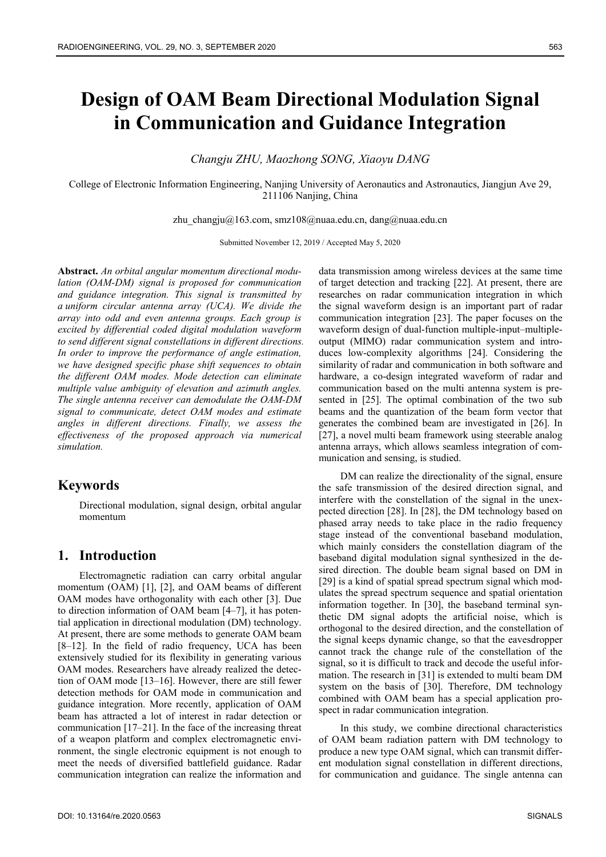# **Design of OAM Beam Directional Modulation Signal in Communication and Guidance Integration**

*Changju ZHU, Maozhong SONG, Xiaoyu DANG* 

College of Electronic Information Engineering, Nanjing University of Aeronautics and Astronautics, Jiangjun Ave 29, 211106 Nanjing, China

zhu\_changju@163.com, smz108@nuaa.edu.cn, dang@nuaa.edu.cn

Submitted November 12, 2019 / Accepted May 5, 2020

**Abstract.** *An orbital angular momentum directional modulation (OAM-DM) signal is proposed for communication and guidance integration. This signal is transmitted by a uniform circular antenna array (UCA). We divide the array into odd and even antenna groups. Each group is excited by differential coded digital modulation waveform to send different signal constellations in different directions. In order to improve the performance of angle estimation, we have designed specific phase shift sequences to obtain the different OAM modes. Mode detection can eliminate multiple value ambiguity of elevation and azimuth angles. The single antenna receiver can demodulate the OAM-DM signal to communicate, detect OAM modes and estimate angles in different directions. Finally, we assess the effectiveness of the proposed approach via numerical simulation.* 

# **Keywords**

Directional modulation, signal design, orbital angular momentum

# **1. Introduction**

Electromagnetic radiation can carry orbital angular momentum (OAM) [1], [2], and OAM beams of different OAM modes have orthogonality with each other [3]. Due to direction information of OAM beam [4–7], it has potential application in directional modulation (DM) technology. At present, there are some methods to generate OAM beam [8–12]. In the field of radio frequency, UCA has been extensively studied for its flexibility in generating various OAM modes. Researchers have already realized the detection of OAM mode [13–16]. However, there are still fewer detection methods for OAM mode in communication and guidance integration. More recently, application of OAM beam has attracted a lot of interest in radar detection or communication [17–21]. In the face of the increasing threat of a weapon platform and complex electromagnetic environment, the single electronic equipment is not enough to meet the needs of diversified battlefield guidance. Radar communication integration can realize the information and

data transmission among wireless devices at the same time of target detection and tracking [22]. At present, there are researches on radar communication integration in which the signal waveform design is an important part of radar communication integration [23]. The paper focuses on the waveform design of dual-function multiple-input–multipleoutput (MIMO) radar communication system and introduces low-complexity algorithms [24]. Considering the similarity of radar and communication in both software and hardware, a co-design integrated waveform of radar and communication based on the multi antenna system is presented in [25]. The optimal combination of the two sub beams and the quantization of the beam form vector that generates the combined beam are investigated in [26]. In [27], a novel multi beam framework using steerable analog antenna arrays, which allows seamless integration of communication and sensing, is studied.

DM can realize the directionality of the signal, ensure the safe transmission of the desired direction signal, and interfere with the constellation of the signal in the unexpected direction [28]. In [28], the DM technology based on phased array needs to take place in the radio frequency stage instead of the conventional baseband modulation, which mainly considers the constellation diagram of the baseband digital modulation signal synthesized in the desired direction. The double beam signal based on DM in [29] is a kind of spatial spread spectrum signal which modulates the spread spectrum sequence and spatial orientation information together. In [30], the baseband terminal synthetic DM signal adopts the artificial noise, which is orthogonal to the desired direction, and the constellation of the signal keeps dynamic change, so that the eavesdropper cannot track the change rule of the constellation of the signal, so it is difficult to track and decode the useful information. The research in [31] is extended to multi beam DM system on the basis of [30]. Therefore, DM technology combined with OAM beam has a special application prospect in radar communication integration.

In this study, we combine directional characteristics of OAM beam radiation pattern with DM technology to produce a new type OAM signal, which can transmit different modulation signal constellation in different directions, for communication and guidance. The single antenna can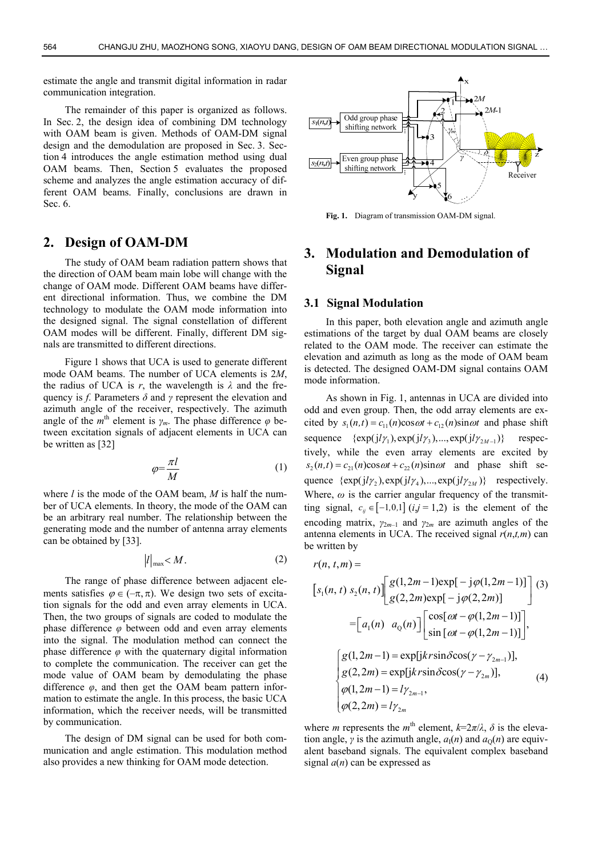estimate the angle and transmit digital information in radar communication integration.

The remainder of this paper is organized as follows. In Sec. 2, the design idea of combining DM technology with OAM beam is given. Methods of OAM-DM signal design and the demodulation are proposed in Sec. 3. Section 4 introduces the angle estimation method using dual OAM beams. Then, Section 5 evaluates the proposed scheme and analyzes the angle estimation accuracy of different OAM beams. Finally, conclusions are drawn in Sec. 6.

# **2. Design of OAM-DM**

The study of OAM beam radiation pattern shows that the direction of OAM beam main lobe will change with the change of OAM mode. Different OAM beams have different directional information. Thus, we combine the DM technology to modulate the OAM mode information into the designed signal. The signal constellation of different OAM modes will be different. Finally, different DM signals are transmitted to different directions.

Figure 1 shows that UCA is used to generate different mode OAM beams. The number of UCA elements is 2*M*, the radius of UCA is  $r$ , the wavelength is  $\lambda$  and the frequency is *f*. Parameters *δ* and *γ* represent the elevation and azimuth angle of the receiver, respectively. The azimuth angle of the  $m^{\text{th}}$  element is  $\gamma_m$ . The phase difference  $\varphi$  between excitation signals of adjacent elements in UCA can be written as [32]

$$
\varphi = \frac{\pi l}{M} \tag{1}
$$

where *l* is the mode of the OAM beam, *M* is half the number of UCA elements. In theory, the mode of the OAM can be an arbitrary real number. The relationship between the generating mode and the number of antenna array elements can be obtained by [33].

$$
|l|_{\max} < M. \tag{2}
$$

The range of phase difference between adjacent elements satisfies  $\varphi \in (-\pi, \pi)$ . We design two sets of excitation signals for the odd and even array elements in UCA. Then, the two groups of signals are coded to modulate the phase difference *φ* between odd and even array elements into the signal. The modulation method can connect the phase difference *φ* with the quaternary digital information to complete the communication. The receiver can get the mode value of OAM beam by demodulating the phase difference *φ*, and then get the OAM beam pattern information to estimate the angle. In this process, the basic UCA information, which the receiver needs, will be transmitted by communication.

The design of DM signal can be used for both communication and angle estimation. This modulation method also provides a new thinking for OAM mode detection.



**Fig. 1.** Diagram of transmission OAM-DM signal.

# **3. Modulation and Demodulation of Signal**

#### **3.1 Signal Modulation**

In this paper, both elevation angle and azimuth angle estimations of the target by dual OAM beams are closely related to the OAM mode. The receiver can estimate the elevation and azimuth as long as the mode of OAM beam is detected. The designed OAM-DM signal contains OAM mode information.

As shown in Fig. 1, antennas in UCA are divided into odd and even group. Then, the odd array elements are excited by  $s_1(n,t) = c_{11}(n)\cos \omega t + c_{12}(n)\sin \omega t$  and phase shift sequence  $\{\exp(j l \gamma_1), \exp(j l \gamma_3), ..., \exp(j l \gamma_{2M-1})\}$  respectively, while the even array elements are excited by  $s_2(n,t) = c_{21}(n)\cos \omega t + c_{22}(n)\sin \omega t$  and phase shift sequence  $\{\exp(j l \gamma_2), \exp(j l \gamma_4), ..., \exp(j l \gamma_{2M})\}$  respectively. Where,  $\omega$  is the carrier angular frequency of the transmitting signal,  $c_{ij} \in [-1,0,1]$  ( $ij = 1,2$ ) is the element of the encoding matrix,  $\gamma_{2m-1}$  and  $\gamma_{2m}$  are azimuth angles of the antenna elements in UCA. The received signal  $r(n,t,m)$  can be written by

$$
r(n, t, m) =
$$
\n
$$
\begin{bmatrix} s_1(n, t) s_2(n, t) \end{bmatrix} \begin{bmatrix} g(1, 2m - 1) \exp[-j\varphi(1, 2m - 1)] \\ g(2, 2m) \exp[-j\varphi(2, 2m)] \end{bmatrix} (3)
$$
\n
$$
= \begin{bmatrix} a_1(n) & a_0(n) \end{bmatrix} \begin{bmatrix} \cos[\omega t - \varphi(1, 2m - 1)] \\ \sin[\omega t - \varphi(1, 2m - 1)] \end{bmatrix},
$$
\n
$$
\begin{cases} g(1, 2m - 1) = \exp[jk r \sin \delta \cos(\gamma - \gamma_{2m - 1})], \\ g(2, 2m) = \exp[jk r \sin \delta \cos(\gamma - \gamma_{2m})], \\ \varphi(1, 2m - 1) = l \gamma_{2m - 1}, \\ \varphi(2, 2m) = l \gamma_{2m} \end{cases} (4)
$$

where *m* represents the *m*<sup>th</sup> element,  $k=2\pi/\lambda$ ,  $\delta$  is the elevation angle, *γ* is the azimuth angle,  $a_1(n)$  and  $a_0(n)$  are equivalent baseband signals. The equivalent complex baseband signal  $a(n)$  can be expressed as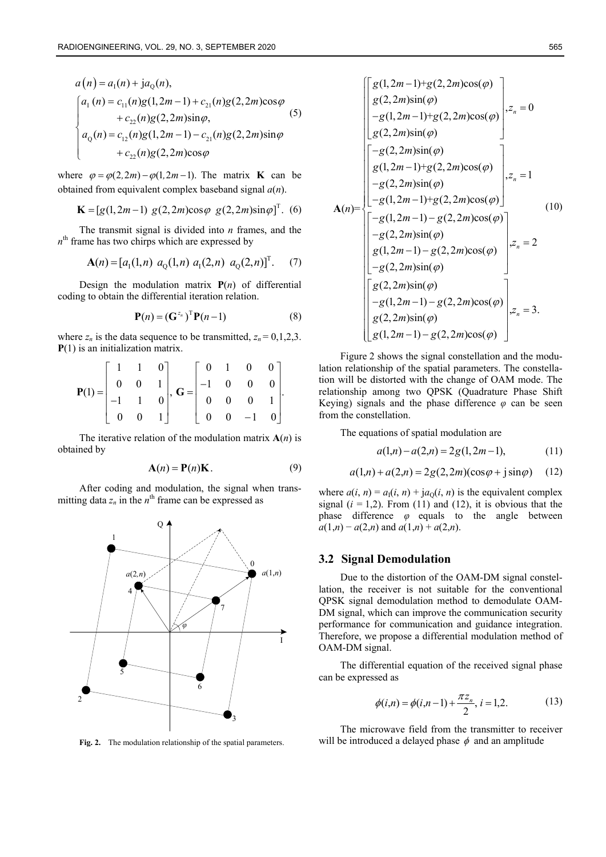$$
a(n) = a_1(n) + ja_0(n),
$$
  
\n
$$
\begin{cases}\na_1(n) = c_{11}(n)g(1,2m-1) + c_{21}(n)g(2,2m)\cos\varphi \\
+ c_{22}(n)g(2,2m)\sin\varphi,\na_0(n) = c_{12}(n)g(1,2m-1) - c_{21}(n)g(2,2m)\sin\varphi \\
+ c_{22}(n)g(2,2m)\cos\varphi\n\end{cases}
$$
\n(5)

where  $\varphi = \varphi(2, 2m) - \varphi(1, 2m - 1)$ . The matrix **K** can be obtained from equivalent complex baseband signal *a*(*n*).

$$
\mathbf{K} = [g(1, 2m-1) \ g(2, 2m) \cos \varphi \ g(2, 2m) \sin \varphi]^{T}.
$$
 (6)

The transmit signal is divided into *n* frames, and the  $n<sup>th</sup>$  frame has two chirps which are expressed by

$$
\mathbf{A}(n) = [a_1(1,n) \ a_0(1,n) \ a_1(2,n) \ a_0(2,n)]^T. \tag{7}
$$

Design the modulation matrix  $P(n)$  of differential coding to obtain the differential iteration relation.

$$
\mathbf{P}(n) = (\mathbf{G}^{z_n})^{\mathrm{T}} \mathbf{P}(n-1)
$$
 (8)

where  $z_n$  is the data sequence to be transmitted,  $z_n = 0, 1, 2, 3$ . **P**(1) is an initialization matrix.

$$
\mathbf{P}(1) = \begin{bmatrix} 1 & 1 & 0 \\ 0 & 0 & 1 \\ -1 & 1 & 0 \\ 0 & 0 & 1 \end{bmatrix}, \ \mathbf{G} = \begin{bmatrix} 0 & 1 & 0 & 0 \\ -1 & 0 & 0 & 0 \\ 0 & 0 & 0 & 1 \\ 0 & 0 & -1 & 0 \end{bmatrix}.
$$

The iterative relation of the modulation matrix  $A(n)$  is obtained by

$$
\mathbf{A}(n) = \mathbf{P}(n)\mathbf{K}.\tag{9}
$$

After coding and modulation, the signal when transmitting data  $z_n$  in the  $n^{\text{th}}$  frame can be expressed as



**Fig. 2.** The modulation relationship of the spatial parameters.

$$
\mathbf{A}(n) = \begin{bmatrix} g(1, 2m-1)+g(2, 2m)\cos(\varphi) \\ g(2, 2m)\sin(\varphi) \\ -g(1, 2m-1)+g(2, 2m)\cos(\varphi) \\ g(2, 2m)\sin(\varphi) \\ g(1, 2m-1)+g(2, 2m)\cos(\varphi) \\ -g(2, 2m)\sin(\varphi) \\ -g(1, 2m-1)+g(2, 2m)\cos(\varphi) \end{bmatrix}, z_n = 1
$$
\n
$$
\mathbf{A}(n) = \begin{bmatrix} -g(1, 2m-1) + g(2, 2m)\cos(\varphi) \\ -g(1, 2m-1) - g(2, 2m)\cos(\varphi) \\ -g(2, 2m)\sin(\varphi) \\ g(1, 2m-1) - g(2, 2m)\cos(\varphi) \\ -g(1, 2m-1) - g(2, 2m)\cos(\varphi) \\ -g(1, 2m-1) - g(2, 2m)\cos(\varphi) \\ g(2, 2m)\sin(\varphi) \\ g(1, 2m-1) - g(2, 2m)\cos(\varphi) \end{bmatrix}, z_n = 3.
$$

Figure 2 shows the signal constellation and the modulation relationship of the spatial parameters. The constellation will be distorted with the change of OAM mode. The relationship among two QPSK (Quadrature Phase Shift Keying) signals and the phase difference  $\varphi$  can be seen from the constellation.

The equations of spatial modulation are

$$
a(1,n) - a(2,n) = 2g(1,2m-1), \tag{11}
$$

$$
a(1,n) + a(2,n) = 2g(2,2m)(\cos\varphi + j\sin\varphi)
$$
 (12)

where  $a(i, n) = a_1(i, n) + ja_0(i, n)$  is the equivalent complex signal  $(i = 1,2)$ . From (11) and (12), it is obvious that the phase difference *φ* equals to the angle between  $a(1,n) - a(2,n)$  and  $a(1,n) + a(2,n)$ .

#### **3.2 Signal Demodulation**

Due to the distortion of the OAM-DM signal constellation, the receiver is not suitable for the conventional QPSK signal demodulation method to demodulate OAM-DM signal, which can improve the communication security performance for communication and guidance integration. Therefore, we propose a differential modulation method of OAM-DM signal.

The differential equation of the received signal phase can be expressed as

$$
\phi(i,n) = \phi(i,n-1) + \frac{\pi z_n}{2}, i = 1,2.
$$
 (13)

The microwave field from the transmitter to receiver will be introduced a delayed phase  $\phi$  and an amplitude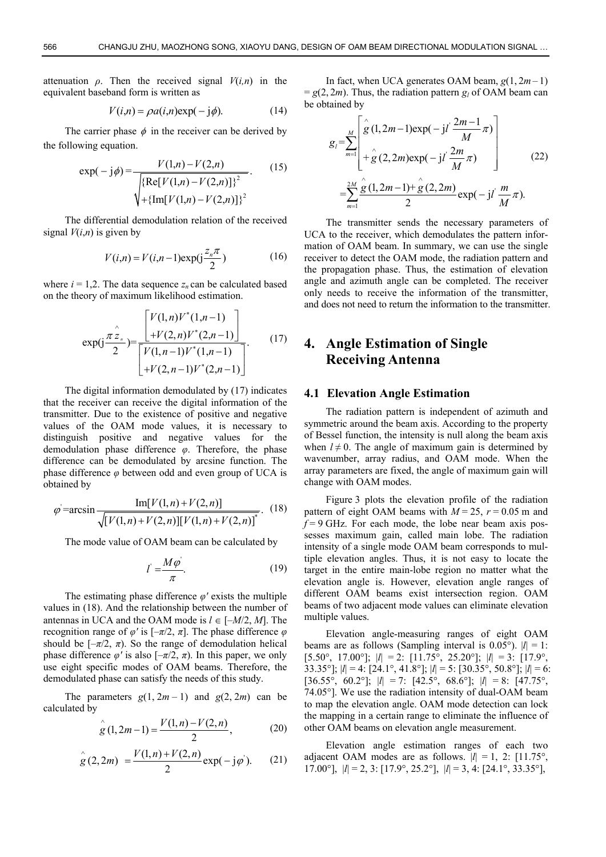attenuation  $\rho$ . Then the received signal  $V(i,n)$  in the equivalent baseband form is written as

$$
V(i,n) = \rho a(i,n) \exp(-j\phi).
$$
 (14)

The carrier phase  $\phi$  in the receiver can be derived by the following equation.

$$
\exp(-j\phi) = \frac{V(1,n) - V(2,n)}{\sqrt{\{\text{Re}[V(1,n) - V(2,n)]\}^2}}.
$$
(15)  

$$
\sqrt{\text{Im}[V(1,n) - V(2,n)]\}^2}.
$$

The differential demodulation relation of the received signal  $V(i,n)$  is given by

$$
V(i,n) = V(i,n-1)\exp(j\frac{z_n \pi}{2})
$$
 (16)

where  $i = 1,2$ . The data sequence  $z_n$  can be calculated based on the theory of maximum likelihood estimation.

$$
\exp\left(\frac{\pi \sum_{n=1}^{n} \left[\frac{V(1,n)V^*(1,n-1)}{V(2,n)V^*(2,n-1)}\right]}{\left[\frac{V(1,n-1)V^*(1,n-1)}{V(2,n-1)V^*(2,n-1)}\right]}.\tag{17}
$$

The digital information demodulated by (17) indicates that the receiver can receive the digital information of the transmitter. Due to the existence of positive and negative values of the OAM mode values, it is necessary to distinguish positive and negative values for the demodulation phase difference *φ*. Therefore, the phase difference can be demodulated by arcsine function. The phase difference *φ* between odd and even group of UCA is obtained by

$$
\varphi = \arcsin \frac{\text{Im}[V(1,n) + V(2,n)]}{\sqrt{[V(1,n) + V(2,n)][V(1,n) + V(2,n)]^*}}. (18)
$$

The mode value of OAM beam can be calculated by

$$
l' = \frac{M\varphi}{\pi}.\tag{19}
$$

The estimating phase difference  $\varphi'$  exists the multiple values in (18). And the relationship between the number of antennas in UCA and the OAM mode is  $l \in [-M/2, M]$ . The recognition range of  $\varphi'$  is  $[-\pi/2, \pi]$ . The phase difference *φ* should be  $[-\pi/2, \pi)$ . So the range of demodulation helical phase difference  $\varphi'$  is also  $[-\pi/2, \pi)$ . In this paper, we only use eight specific modes of OAM beams. Therefore, the demodulated phase can satisfy the needs of this study.

The parameters  $g(1, 2m - 1)$  and  $g(2, 2m)$  can be calculated by

$$
\stackrel{\wedge}{g}(1,2m-1) = \frac{V(1,n) - V(2,n)}{2},\tag{20}
$$

$$
\overset{\wedge}{g}(2,2m) = \frac{V(1,n) + V(2,n)}{2} \exp(-j\varphi). \tag{21}
$$

In fact, when UCA generates OAM beam,  $g(1, 2m-1)$  $= g(2, 2m)$ . Thus, the radiation pattern  $g_i$  of OAM beam can be obtained by

$$
g_{i} = \sum_{m=1}^{M} \left[ \hat{g}(1, 2m-1) \exp(-j l \frac{2m-1}{M} \pi) + \hat{g}(2, 2m) \exp(-j l \frac{2m}{M} \pi) \right]
$$
(22)  

$$
= \sum_{m=1}^{2M} \frac{\hat{g}(1, 2m-1) + \hat{g}(2, 2m)}{2} \exp(-j l \frac{m}{M} \pi).
$$

The transmitter sends the necessary parameters of UCA to the receiver, which demodulates the pattern information of OAM beam. In summary, we can use the single receiver to detect the OAM mode, the radiation pattern and the propagation phase. Thus, the estimation of elevation angle and azimuth angle can be completed. The receiver only needs to receive the information of the transmitter, and does not need to return the information to the transmitter.

# **4. Angle Estimation of Single Receiving Antenna**

#### **4.1 Elevation Angle Estimation**

The radiation pattern is independent of azimuth and symmetric around the beam axis. According to the property of Bessel function, the intensity is null along the beam axis when  $l \neq 0$ . The angle of maximum gain is determined by wavenumber, array radius, and OAM mode. When the array parameters are fixed, the angle of maximum gain will change with OAM modes.

Figure 3 plots the elevation profile of the radiation pattern of eight OAM beams with  $M = 25$ ,  $r = 0.05$  m and  $f = 9$  GHz. For each mode, the lobe near beam axis possesses maximum gain, called main lobe. The radiation intensity of a single mode OAM beam corresponds to multiple elevation angles. Thus, it is not easy to locate the target in the entire main-lobe region no matter what the elevation angle is. However, elevation angle ranges of different OAM beams exist intersection region. OAM beams of two adjacent mode values can eliminate elevation multiple values.

Elevation angle-measuring ranges of eight OAM beams are as follows (Sampling interval is  $0.05^{\circ}$ ).  $|l| = 1$ : [5.50°, 17.00°];  $|l| = 2$ : [11.75°, 25.20°];  $|l| = 3$ : [17.9°, 33.35°]; |*l*| = 4: [24.1°, 41.8°]; |*l*| = 5: [30.35°, 50.8°]; |*l*| = 6:  $[36.55^\circ, 60.2^\circ]$ ;  $|l| = 7$ :  $[42.5^\circ, 68.6^\circ]$ ;  $|l| = 8$ :  $[47.75^\circ,$ 74.05°]. We use the radiation intensity of dual-OAM beam to map the elevation angle. OAM mode detection can lock the mapping in a certain range to eliminate the influence of other OAM beams on elevation angle measurement.

Elevation angle estimation ranges of each two adjacent OAM modes are as follows.  $|l| = 1$ , 2: [11.75°, 17.00°],  $|l| = 2$ , 3:  $[17.9^\circ, 25.2^\circ]$ ,  $|l| = 3$ , 4:  $[24.1^\circ, 33.35^\circ]$ ,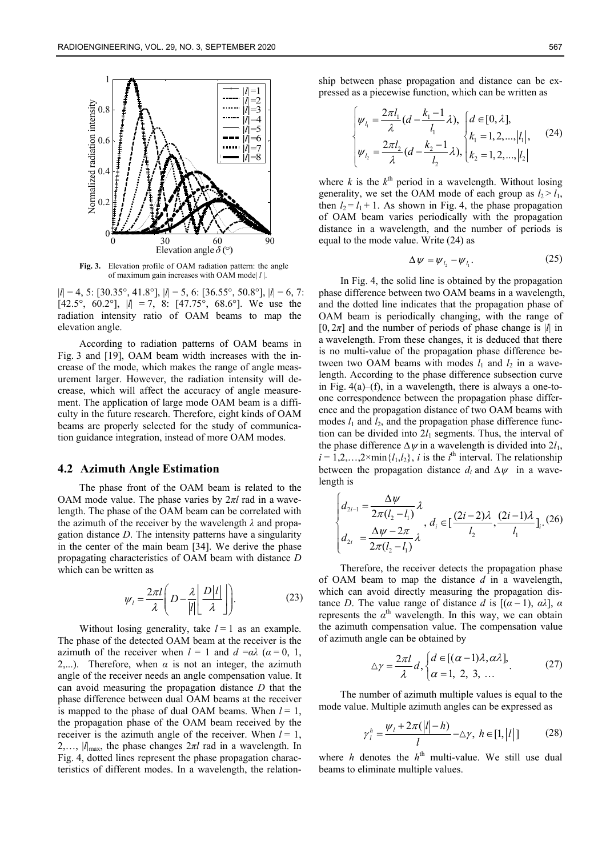

**Fig. 3.** Elevation profile of OAM radiation pattern: the angle of maximum gain increases with OAM mode| *l* |.

|*l*| = 4, 5: [30.35°, 41.8°], |*l*| = 5, 6: [36.55°, 50.8°], |*l*| = 6, 7: [42.5°, 60.2°],  $|l| = 7$ , 8: [47.75°, 68.6°]. We use the radiation intensity ratio of OAM beams to map the elevation angle.

According to radiation patterns of OAM beams in Fig. 3 and [19], OAM beam width increases with the increase of the mode, which makes the range of angle measurement larger. However, the radiation intensity will decrease, which will affect the accuracy of angle measurement. The application of large mode OAM beam is a difficulty in the future research. Therefore, eight kinds of OAM beams are properly selected for the study of communication guidance integration, instead of more OAM modes.

#### **4.2 Azimuth Angle Estimation**

The phase front of the OAM beam is related to the OAM mode value. The phase varies by 2*πl* rad in a wavelength. The phase of the OAM beam can be correlated with the azimuth of the receiver by the wavelength *λ* and propagation distance *D*. The intensity patterns have a singularity in the center of the main beam [34]. We derive the phase propagating characteristics of OAM beam with distance *D* which can be written as

$$
\psi_{l} = \frac{2\pi l}{\lambda} \left( D - \frac{\lambda}{|l|} \frac{D|l|}{\lambda} \right).
$$
 (23)

Without losing generality, take  $l = 1$  as an example. The phase of the detected OAM beam at the receiver is the azimuth of the receiver when  $l = 1$  and  $d = \alpha \lambda$  ( $\alpha = 0, 1$ , 2,...). Therefore, when  $\alpha$  is not an integer, the azimuth angle of the receiver needs an angle compensation value. It can avoid measuring the propagation distance *D* that the phase difference between dual OAM beams at the receiver is mapped to the phase of dual OAM beams. When  $l = 1$ , the propagation phase of the OAM beam received by the receiver is the azimuth angle of the receiver. When  $l = 1$ , 2,…, |*l*|max, the phase changes 2*πl* rad in a wavelength. In Fig. 4, dotted lines represent the phase propagation characteristics of different modes. In a wavelength, the relationship between phase propagation and distance can be expressed as a piecewise function, which can be written as

$$
\begin{cases} \psi_{l_1} = \frac{2\pi l_1}{\lambda} (d - \frac{k_1 - 1}{l_1} \lambda), & d \in [0, \lambda], \\ \psi_{l_2} = \frac{2\pi l_2}{\lambda} (d - \frac{k_2 - 1}{l_2} \lambda), & k_2 = 1, 2, ..., |l_1|, \end{cases}
$$
 (24)

where  $k$  is the  $k^{\text{th}}$  period in a wavelength. Without losing generality, we set the OAM mode of each group as  $l_2 > l_1$ , then  $l_2 = l_1 + 1$ . As shown in Fig. 4, the phase propagation of OAM beam varies periodically with the propagation distance in a wavelength, and the number of periods is equal to the mode value. Write (24) as

$$
\Delta \psi = \psi_{l_2} - \psi_{l_1}.\tag{25}
$$

In Fig. 4, the solid line is obtained by the propagation phase difference between two OAM beams in a wavelength, and the dotted line indicates that the propagation phase of OAM beam is periodically changing, with the range of  $[0, 2\pi]$  and the number of periods of phase change is |*l*| in a wavelength. From these changes, it is deduced that there is no multi-value of the propagation phase difference between two OAM beams with modes  $l_1$  and  $l_2$  in a wavelength. According to the phase difference subsection curve in Fig.  $4(a)$ –(f), in a wavelength, there is always a one-toone correspondence between the propagation phase difference and the propagation distance of two OAM beams with modes  $l_1$  and  $l_2$ , and the propagation phase difference function can be divided into  $2l_1$  segments. Thus, the interval of the phase difference  $\Delta \psi$  in a wavelength is divided into  $2l_1$ ,  $i = 1, 2, \ldots, 2 \times \min\{l_1, l_2\}$ , *i* is the *i*<sup>th</sup> interval. The relationship between the propagation distance  $d_i$  and  $\Delta \psi$  in a wavelength is

$$
\begin{cases} d_{2i-1} = \frac{\Delta \psi}{2\pi (l_2 - l_1)} \lambda \\ d_{2i} = \frac{\Delta \psi - 2\pi}{2\pi (l_2 - l_1)} \lambda, d_i \in \left[\frac{(2i-2)\lambda}{l_2}, \frac{(2i-1)\lambda}{l_1}\right]_i. (26) \end{cases}
$$

Therefore, the receiver detects the propagation phase of OAM beam to map the distance *d* in a wavelength, which can avoid directly measuring the propagation distance *D*. The value range of distance *d* is  $[(\alpha - 1), \alpha \lambda]$ ,  $\alpha$ represents the  $\alpha^{th}$  wavelength. In this way, we can obtain the azimuth compensation value. The compensation value of azimuth angle can be obtained by

$$
\Delta \gamma = \frac{2\pi l}{\lambda} d, \begin{cases} d \in [(\alpha - 1)\lambda, \alpha \lambda], \\ \alpha = 1, 2, 3, \dots \end{cases}
$$
 (27)

The number of azimuth multiple values is equal to the mode value. Multiple azimuth angles can be expressed as

$$
\gamma_l^h = \frac{\psi_l + 2\pi(|l| - h)}{l} - \Delta \gamma, \ h \in [1, |l|] \tag{28}
$$

where *h* denotes the  $h<sup>th</sup>$  multi-value. We still use dual beams to eliminate multiple values.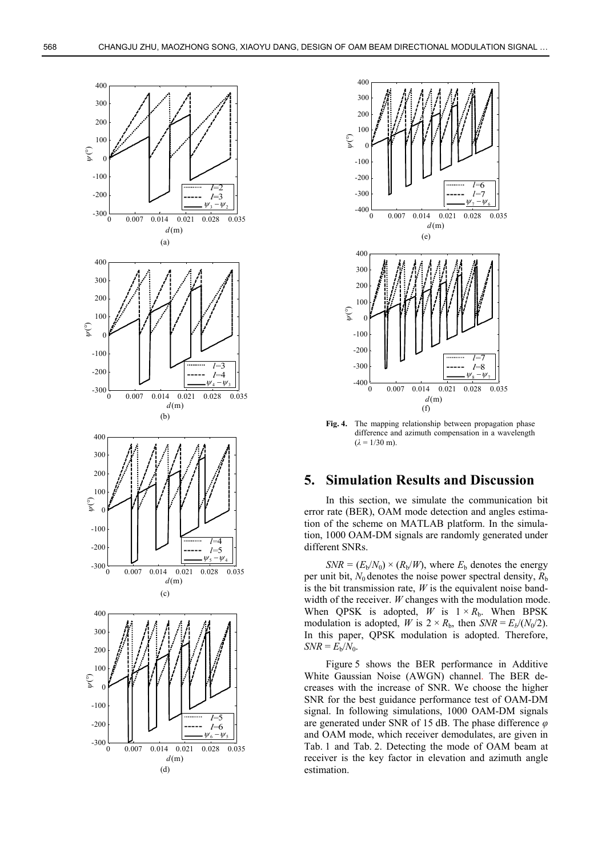



**Fig. 4.** The mapping relationship between propagation phase difference and azimuth compensation in a wavelength  $(\lambda = 1/30 \text{ m})$ .

# **5. Simulation Results and Discussion**

In this section, we simulate the communication bit error rate (BER), OAM mode detection and angles estimation of the scheme on MATLAB platform. In the simulation, 1000 OAM-DM signals are randomly generated under different SNRs.

 $SNR = (E_b/N_0) \times (R_b/W)$ , where  $E_b$  denotes the energy per unit bit,  $N_0$  denotes the noise power spectral density,  $R_b$ is the bit transmission rate, *W* is the equivalent noise bandwidth of the receiver. *W* changes with the modulation mode. When QPSK is adopted,  $W$  is  $1 \times R_b$ . When BPSK modulation is adopted, *W* is  $2 \times R_b$ , then *SNR* =  $E_b/(N_0/2)$ . In this paper, QPSK modulation is adopted. Therefore,  $SNR = E_b/N_0$ .

Figure 5 shows the BER performance in Additive White Gaussian Noise (AWGN) channel. The BER decreases with the increase of SNR. We choose the higher SNR for the best guidance performance test of OAM-DM signal. In following simulations, 1000 OAM-DM signals are generated under SNR of 15 dB. The phase difference *φ* and OAM mode, which receiver demodulates, are given in Tab. 1 and Tab. 2. Detecting the mode of OAM beam at receiver is the key factor in elevation and azimuth angle estimation.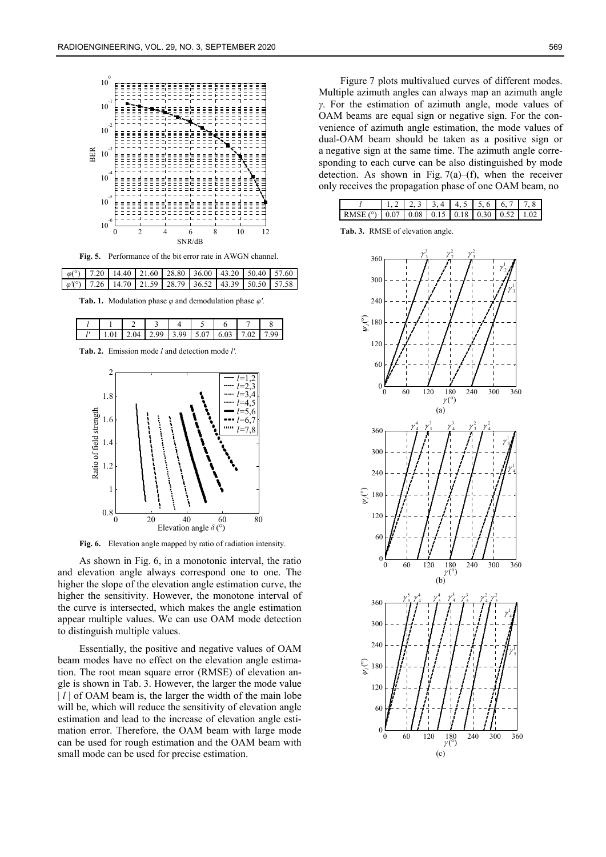

**Fig. 5.** Performance of the bit error rate in AWGN channel.

|  | $\varphi$ (°)   7.20   14.40   21.60   28.80   36.00   43.20   50.40   57.60 |  |  |  |
|--|------------------------------------------------------------------------------|--|--|--|
|  | $\varphi$ (°)   7.26   14.70   21.59   28.79   36.52   43.39   50.50   57.58 |  |  |  |

**Tab. 1.** Modulation phase *φ* and demodulation phase *φ'.* 

|  | $\sim$ |  | ີ |  |
|--|--------|--|---|--|

**Tab. 2.** Emission mode *l* and detection mode *l'.*



**Fig. 6.** Elevation angle mapped by ratio of radiation intensity.

As shown in Fig. 6, in a monotonic interval, the ratio and elevation angle always correspond one to one. The higher the slope of the elevation angle estimation curve, the higher the sensitivity. However, the monotone interval of the curve is intersected, which makes the angle estimation appear multiple values. We can use OAM mode detection to distinguish multiple values.

Essentially, the positive and negative values of OAM beam modes have no effect on the elevation angle estimation. The root mean square error (RMSE) of elevation angle is shown in Tab. 3. However, the larger the mode value | *l* | of OAM beam is, the larger the width of the main lobe will be, which will reduce the sensitivity of elevation angle estimation and lead to the increase of elevation angle estimation error. Therefore, the OAM beam with large mode can be used for rough estimation and the OAM beam with small mode can be used for precise estimation.

Figure 7 plots multivalued curves of different modes. Multiple azimuth angles can always map an azimuth angle *γ*. For the estimation of azimuth angle, mode values of OAM beams are equal sign or negative sign. For the convenience of azimuth angle estimation, the mode values of dual-OAM beam should be taken as a positive sign or a negative sign at the same time. The azimuth angle corresponding to each curve can be also distinguished by mode detection. As shown in Fig.  $7(a)$ –(f), when the receiver only receives the propagation phase of one OAM beam, no

|                                                           |  |  |  | $1, 2$   2, 3   3, 4   4, 5   5, 6   6, 7   7, 8 |
|-----------------------------------------------------------|--|--|--|--------------------------------------------------|
| RMSE (°)   0.07   0.08   0.15   0.18   0.30   0.52   1.02 |  |  |  |                                                  |

**Tab. 3.** RMSE of elevation angle.

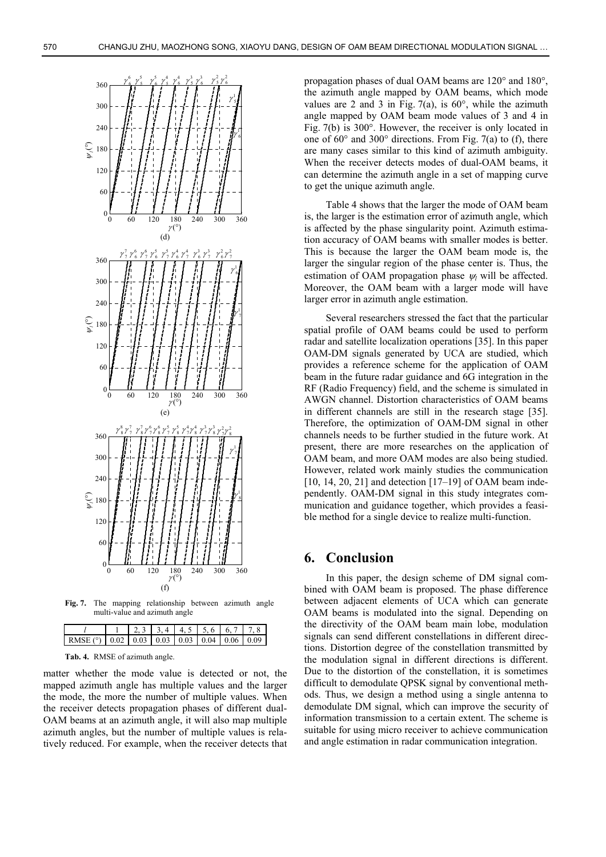

**Fig. 7.** The mapping relationship between azimuth angle multi-value and azimuth angle

|                                                           |  |  | $1, 2, 3$ $3, 4$ $4, 5$ $5, 6$ $6, 7$ $7, 8$ |  |
|-----------------------------------------------------------|--|--|----------------------------------------------|--|
| RMSE (°)   0.02   0.03   0.03   0.03   0.04   0.06   0.09 |  |  |                                              |  |

**Tab. 4.** RMSE of azimuth angle.

matter whether the mode value is detected or not, the mapped azimuth angle has multiple values and the larger the mode, the more the number of multiple values. When the receiver detects propagation phases of different dual-OAM beams at an azimuth angle, it will also map multiple azimuth angles, but the number of multiple values is relatively reduced. For example, when the receiver detects that

propagation phases of dual OAM beams are 120° and 180°, the azimuth angle mapped by OAM beams, which mode values are 2 and 3 in Fig. 7(a), is  $60^{\circ}$ , while the azimuth angle mapped by OAM beam mode values of 3 and 4 in Fig. 7(b) is 300°. However, the receiver is only located in one of  $60^{\circ}$  and  $300^{\circ}$  directions. From Fig. 7(a) to (f), there are many cases similar to this kind of azimuth ambiguity. When the receiver detects modes of dual-OAM beams, it can determine the azimuth angle in a set of mapping curve to get the unique azimuth angle.

Table 4 shows that the larger the mode of OAM beam is, the larger is the estimation error of azimuth angle, which is affected by the phase singularity point. Azimuth estimation accuracy of OAM beams with smaller modes is better. This is because the larger the OAM beam mode is, the larger the singular region of the phase center is. Thus, the estimation of OAM propagation phase  $\psi_l$  will be affected. Moreover, the OAM beam with a larger mode will have larger error in azimuth angle estimation.

Several researchers stressed the fact that the particular spatial profile of OAM beams could be used to perform radar and satellite localization operations [35]. In this paper OAM-DM signals generated by UCA are studied, which provides a reference scheme for the application of OAM beam in the future radar guidance and 6G integration in the RF (Radio Frequency) field, and the scheme is simulated in AWGN channel. Distortion characteristics of OAM beams in different channels are still in the research stage [35]. Therefore, the optimization of OAM-DM signal in other channels needs to be further studied in the future work. At present, there are more researches on the application of OAM beam, and more OAM modes are also being studied. However, related work mainly studies the communication  $[10, 14, 20, 21]$  and detection  $[17–19]$  of OAM beam independently. OAM-DM signal in this study integrates communication and guidance together, which provides a feasible method for a single device to realize multi-function.

## **6. Conclusion**

In this paper, the design scheme of DM signal combined with OAM beam is proposed. The phase difference between adjacent elements of UCA which can generate OAM beams is modulated into the signal. Depending on the directivity of the OAM beam main lobe, modulation signals can send different constellations in different directions. Distortion degree of the constellation transmitted by the modulation signal in different directions is different. Due to the distortion of the constellation, it is sometimes difficult to demodulate QPSK signal by conventional methods. Thus, we design a method using a single antenna to demodulate DM signal, which can improve the security of information transmission to a certain extent. The scheme is suitable for using micro receiver to achieve communication and angle estimation in radar communication integration.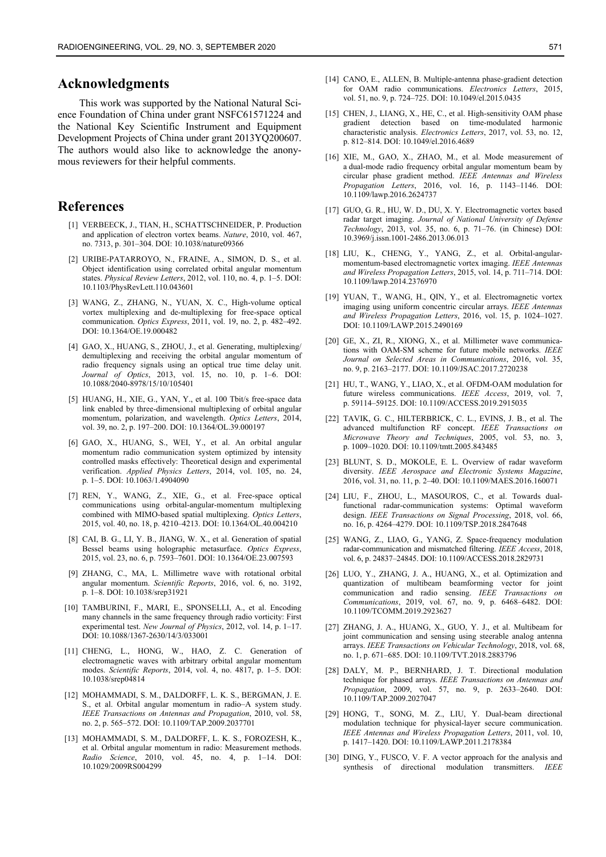## **Acknowledgments**

This work was supported by the National Natural Science Foundation of China under grant NSFC61571224 and the National Key Scientific Instrument and Equipment Development Projects of China under grant 2013YQ200607. The authors would also like to acknowledge the anonymous reviewers for their helpful comments.

# **References**

- [1] VERBEECK, J., TIAN, H., SCHATTSCHNEIDER, P. Production and application of electron vortex beams. *Nature*, 2010, vol. 467, no. 7313, p. 301–304. DOI: 10.1038/nature09366
- [2] URIBE-PATARROYO, N., FRAINE, A., SIMON, D. S., et al. Object identification using correlated orbital angular momentum states. *Physical Review Letters*, 2012, vol. 110, no. 4, p. 1–5. DOI: 10.1103/PhysRevLett.110.043601
- [3] WANG, Z., ZHANG, N., YUAN, X. C., High-volume optical vortex multiplexing and de-multiplexing for free-space optical communication. *Optics Express*, 2011, vol. 19, no. 2, p. 482–492. DOI: 10.1364/OE.19.000482
- [4] GAO, X., HUANG, S., ZHOU, J., et al. Generating, multiplexing/ demultiplexing and receiving the orbital angular momentum of radio frequency signals using an optical true time delay unit. *Journal of Optics*, 2013, vol. 15, no. 10, p. 1–6. DOI: 10.1088/2040-8978/15/10/105401
- [5] HUANG, H., XIE, G., YAN, Y., et al. 100 Tbit/s free-space data link enabled by three-dimensional multiplexing of orbital angular momentum, polarization, and wavelength. *Optics Letters*, 2014, vol. 39, no. 2, p. 197–200. DOI: 10.1364/OL.39.000197
- [6] GAO, X., HUANG, S., WEI, Y., et al. An orbital angular momentum radio communication system optimized by intensity controlled masks effectively: Theoretical design and experimental verification. *Applied Physics Letters*, 2014, vol. 105, no. 24, p. 1–5. DOI: 10.1063/1.4904090
- [7] REN, Y., WANG, Z., XIE, G., et al. Free-space optical communications using orbital-angular-momentum multiplexing combined with MIMO-based spatial multiplexing. *Optics Letters*, 2015, vol. 40, no. 18, p. 4210–4213. DOI: 10.1364/OL.40.004210
- [8] CAI, B. G., LI, Y. B., JIANG, W. X., et al. Generation of spatial Bessel beams using holographic metasurface. *Optics Express*, 2015, vol. 23, no. 6, p. 7593–7601. DOI: 10.1364/OE.23.007593
- [9] ZHANG, C., MA, L. Millimetre wave with rotational orbital angular momentum. *Scientific Reports*, 2016, vol. 6, no. 3192, p. 1–8. DOI: 10.1038/srep31921
- [10] TAMBURINI, F., MARI, E., SPONSELLI, A., et al. Encoding many channels in the same frequency through radio vorticity: First experimental test. *New Journal of Physics*, 2012, vol. 14, p. 1–17. DOI: 10.1088/1367-2630/14/3/033001
- [11] CHENG, L., HONG, W., HAO, Z. C. Generation of electromagnetic waves with arbitrary orbital angular momentum modes. *Scientific Reports*, 2014, vol. 4, no. 4817, p. 1–5. DOI: 10.1038/srep04814
- [12] MOHAMMADI, S. M., DALDORFF, L. K. S., BERGMAN, J. E. S., et al. Orbital angular momentum in radio–A system study. *IEEE Transactions on Antennas and Propagation*, 2010, vol. 58, no. 2, p. 565–572. DOI: 10.1109/TAP.2009.2037701
- [13] MOHAMMADI, S. M., DALDORFF, L. K. S., FOROZESH, K., et al. Orbital angular momentum in radio: Measurement methods. *Radio Science*, 2010, vol. 45, no. 4, p. 1–14. DOI: 10.1029/2009RS004299
- [14] CANO, E., ALLEN, B. Multiple-antenna phase-gradient detection for OAM radio communications. *Electronics Letters*, 2015, vol. 51, no. 9, p. 724–725. DOI: 10.1049/el.2015.0435
- [15] CHEN, J., LIANG, X., HE, C., et al. High-sensitivity OAM phase gradient detection based on time-modulated harmonic characteristic analysis. *Electronics Letters*, 2017, vol. 53, no. 12, p. 812–814. DOI: 10.1049/el.2016.4689
- [16] XIE, M., GAO, X., ZHAO, M., et al. Mode measurement of a dual-mode radio frequency orbital angular momentum beam by circular phase gradient method. *IEEE Antennas and Wireless Propagation Letters*, 2016, vol. 16, p. 1143–1146. DOI: 10.1109/lawp.2016.2624737
- [17] GUO, G. R., HU, W. D., DU, X. Y. Electromagnetic vortex based radar target imaging. *Journal of National University of Defense Technology*, 2013, vol. 35, no. 6, p. 71–76. (in Chinese) DOI: 10.3969/j.issn.1001-2486.2013.06.013
- [18] LIU, K., CHENG, Y., YANG, Z., et al. Orbital-angularmomentum-based electromagnetic vortex imaging. *IEEE Antennas and Wireless Propagation Letters*, 2015, vol. 14, p. 711–714. DOI: 10.1109/lawp.2014.2376970
- [19] YUAN, T., WANG, H., QIN, Y., et al. Electromagnetic vortex imaging using uniform concentric circular arrays. *IEEE Antennas and Wireless Propagation Letters*, 2016, vol. 15, p. 1024–1027. DOI: 10.1109/LAWP.2015.2490169
- [20] GE, X., ZI, R., XIONG, X., et al. Millimeter wave communications with OAM-SM scheme for future mobile networks. *IEEE Journal on Selected Areas in Communications*, 2016, vol. 35, no. 9, p. 2163–2177. DOI: 10.1109/JSAC.2017.2720238
- [21] HU, T., WANG, Y., LIAO, X., et al. OFDM-OAM modulation for future wireless communications. *IEEE Access*, 2019, vol. 7, p. 59114–59125. DOI: 10.1109/ACCESS.2019.2915035
- [22] TAVIK, G. C., HILTERBRICK, C. L., EVINS, J. B., et al. The advanced multifunction RF concept. *IEEE Transactions on Microwave Theory and Techniques*, 2005, vol. 53, no. 3, p. 1009–1020. DOI: 10.1109/tmtt.2005.843485
- [23] BLUNT, S. D., MOKOLE, E. L. Overview of radar waveform diversity. *IEEE Aerospace and Electronic Systems Magazine*, 2016, vol. 31, no. 11, p. 2–40. DOI: 10.1109/MAES.2016.160071
- [24] LIU, F., ZHOU, L., MASOUROS, C., et al. Towards dualfunctional radar-communication systems: Optimal waveform design. *IEEE Transactions on Signal Processing*, 2018, vol. 66, no. 16, p. 4264–4279. DOI: 10.1109/TSP.2018.2847648
- [25] WANG, Z., LIAO, G., YANG, Z. Space-frequency modulation radar-communication and mismatched filtering. *IEEE Access*, 2018, vol. 6, p. 24837–24845. DOI: 10.1109/ACCESS.2018.2829731
- [26] LUO, Y., ZHANG, J. A., HUANG, X., et al. Optimization and quantization of multibeam beamforming vector for joint communication and radio sensing. *IEEE Transactions on Communications*, 2019, vol. 67, no. 9, p. 6468–6482. DOI: 10.1109/TCOMM.2019.2923627
- [27] ZHANG, J. A., HUANG, X., GUO, Y. J., et al. Multibeam for joint communication and sensing using steerable analog antenna arrays. *IEEE Transactions on Vehicular Technology*, 2018, vol. 68, no. 1, p. 671–685. DOI: 10.1109/TVT.2018.2883796
- [28] DALY, M. P., BERNHARD, J. T. Directional modulation technique for phased arrays. *IEEE Transactions on Antennas and Propagation*, 2009, vol. 57, no. 9, p. 2633–2640. DOI: 10.1109/TAP.2009.2027047
- [29] HONG, T., SONG, M. Z., LIU, Y. Dual-beam directional modulation technique for physical-layer secure communication. *IEEE Antennas and Wireless Propagation Letters*, 2011, vol. 10, p. 1417–1420. DOI: 10.1109/LAWP.2011.2178384
- [30] DING, Y., FUSCO, V. F. A vector approach for the analysis and synthesis of directional modulation transmitters. *IEEE*